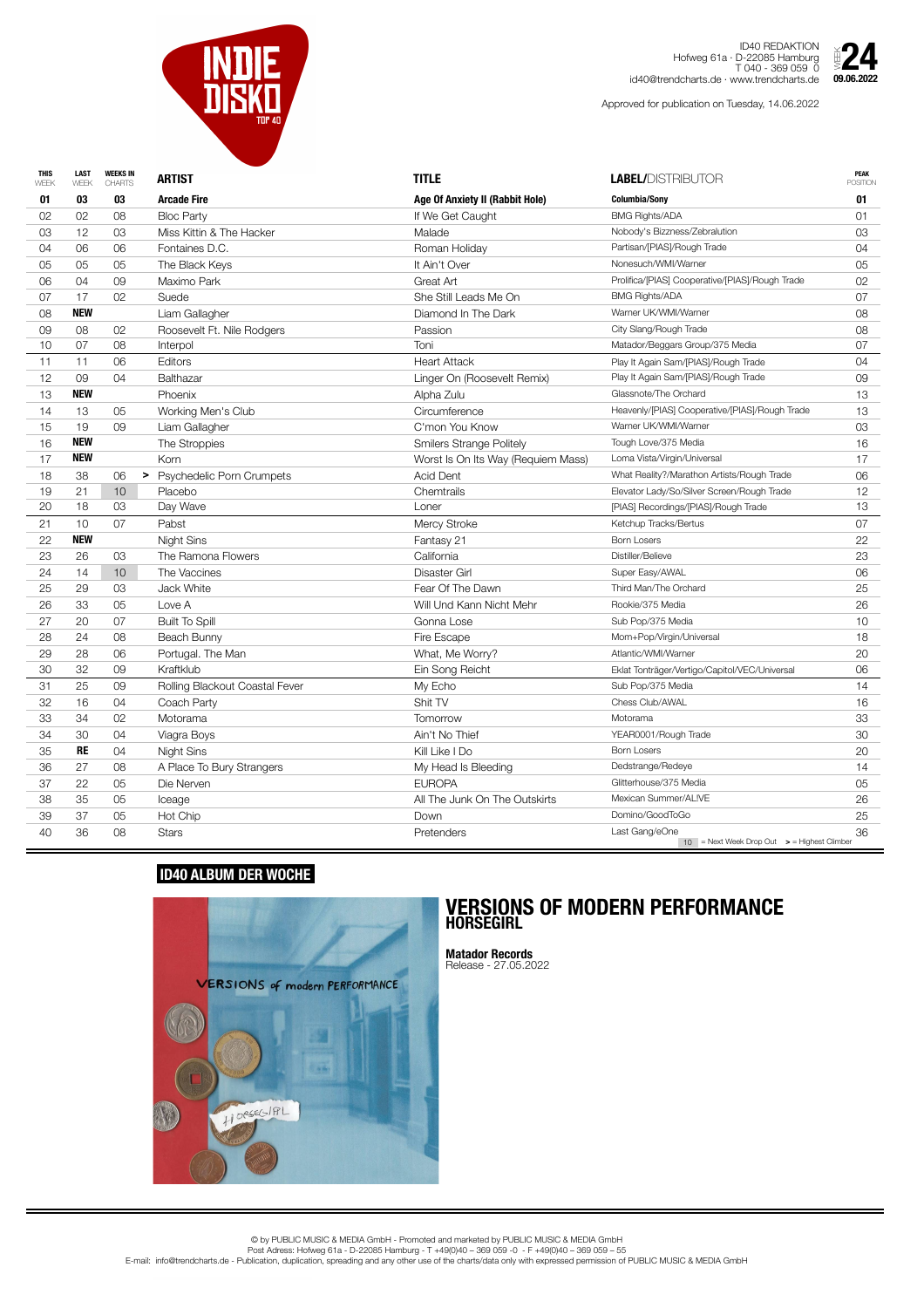|    |            | <b>CHARTS</b>   | <b>ARTIST</b>                  | <b>TITLE</b>                           | <b>LABEL/DISTRIBUTOR</b>                                                    | POSITION |
|----|------------|-----------------|--------------------------------|----------------------------------------|-----------------------------------------------------------------------------|----------|
| 01 | 03         | 03              | <b>Arcade Fire</b>             | <b>Age Of Anxiety II (Rabbit Hole)</b> | <b>Columbia/Sony</b>                                                        | 01       |
| 02 | 02         | 08              | <b>Bloc Party</b>              | If We Get Caught                       | <b>BMG Rights/ADA</b>                                                       | 01       |
| 03 | 12         | 03              | Miss Kittin & The Hacker       | Malade                                 | Nobody's Bizzness/Zebralution                                               | 03       |
| 04 | 06         | 06              | Fontaines D.C.                 | Roman Holiday                          | Partisan/[PIAS]/Rough Trade                                                 | 04       |
| 05 | 05         | 05              | The Black Keys                 | It Ain't Over                          | Nonesuch/WMI/Warner                                                         | 05       |
| 06 | 04         | 09              | Maximo Park                    | <b>Great Art</b>                       | Prolifica/[PIAS] Cooperative/[PIAS]/Rough Trade                             | 02       |
| 07 | 17         | 02              | Suede                          | She Still Leads Me On                  | <b>BMG Rights/ADA</b>                                                       | 07       |
| 08 | <b>NEW</b> |                 | Liam Gallagher                 | Diamond In The Dark                    | Warner UK/WMI/Warner                                                        | 08       |
| 09 | 08         | 02              | Roosevelt Ft. Nile Rodgers     | Passion                                | City Slang/Rough Trade                                                      | 08       |
| 10 | 07         | 08              | Interpol                       | Toni                                   | Matador/Beggars Group/375 Media                                             | 07       |
| 11 | 11         | 06              | Editors                        | <b>Heart Attack</b>                    | Play It Again Sam/[PIAS]/Rough Trade                                        | 04       |
| 12 | 09         | 04              | <b>Balthazar</b>               | Linger On (Roosevelt Remix)            | Play It Again Sam/[PIAS]/Rough Trade                                        | 09       |
| 13 | <b>NEW</b> |                 | <b>Phoenix</b>                 | Alpha Zulu                             | Glassnote/The Orchard                                                       | 13       |
| 14 | 13         | 05              | Working Men's Club             | Circumference                          | Heavenly/[PIAS] Cooperative/[PIAS]/Rough Trade                              | 13       |
| 15 | 19         | 09              | Liam Gallagher                 | C'mon You Know                         | Warner UK/WMI/Warner                                                        | 03       |
| 16 | <b>NEW</b> |                 | The Stroppies                  | <b>Smilers Strange Politely</b>        | Tough Love/375 Media                                                        | 16       |
| 17 | <b>NEW</b> |                 | Korn                           | Worst Is On Its Way (Requiem Mass)     | Loma Vista/Virgin/Universal                                                 | 17       |
| 18 | 38         | 06              | > Psychedelic Porn Crumpets    | <b>Acid Dent</b>                       | What Reality?/Marathon Artists/Rough Trade                                  | 06       |
| 19 | 21         | 10 <sup>°</sup> | Placebo                        | Chemtrails                             | Elevator Lady/So/Silver Screen/Rough Trade                                  | 12       |
| 20 | 18         | 03              | Day Wave                       | Loner                                  | [PIAS] Recordings/[PIAS]/Rough Trade                                        | 13       |
| 21 | 10         | 07              | Pabst                          | <b>Mercy Stroke</b>                    | Ketchup Tracks/Bertus                                                       | 07       |
| 22 | <b>NEW</b> |                 | Night Sins                     | Fantasy 21                             | <b>Born Losers</b>                                                          | 22       |
| 23 | 26         | 03              | The Ramona Flowers             | California                             | Distiller/Believe                                                           | 23       |
| 24 | 14         | 10 <sup>°</sup> | The Vaccines                   | Disaster Girl                          | Super Easy/AWAL                                                             | 06       |
| 25 | 29         | 03              | Jack White                     | Fear Of The Dawn                       | Third Man/The Orchard                                                       | 25       |
| 26 | 33         | 05              | Love A                         | Will Und Kann Nicht Mehr               | Rookie/375 Media                                                            | 26       |
| 27 | 20         | 07              | <b>Built To Spill</b>          | Gonna Lose                             | Sub Pop/375 Media                                                           | 10       |
| 28 | 24         | 08              | Beach Bunny                    | Fire Escape                            | Mom+Pop/Virgin/Universal                                                    | 18       |
| 29 | 28         | 06              | Portugal. The Man              | What, Me Worry?                        | Atlantic/WMI/Warner                                                         | 20       |
| 30 | 32         | 09              | Kraftklub                      | Ein Song Reicht                        | Eklat Tonträger/Vertigo/Capitol/VEC/Universal                               | 06       |
| 31 | 25         | 09              | Rolling Blackout Coastal Fever | My Echo                                | Sub Pop/375 Media                                                           | 14       |
| 32 | 16         | 04              | Coach Party                    | Shit TV                                | Chess Club/AWAL                                                             | 16       |
| 33 | 34         | 02              | Motorama                       | <b>Tomorrow</b>                        | Motorama                                                                    | 33       |
| 34 | 30         | 04              | Viagra Boys                    | Ain't No Thief                         | YEAR0001/Rough Trade                                                        | 30       |
| 35 | <b>RE</b>  | 04              | Night Sins                     | Kill Like I Do                         | <b>Born Losers</b>                                                          | 20       |
| 36 | 27         | 08              | A Place To Bury Strangers      | My Head Is Bleeding                    | Dedstrange/Redeye                                                           | 14       |
| 37 | 22         | 05              | Die Nerven                     | <b>EUROPA</b>                          | Glitterhouse/375 Media                                                      | 05       |
| 38 | 35         | 05              | Iceage                         | All The Junk On The Outskirts          | Mexican Summer/AL!VE                                                        | 26       |
| 39 | 37         | 05              | Hot Chip                       | Down                                   | Domino/GoodToGo                                                             | 25       |
| 40 | 36         | 08              | <b>Stars</b>                   | Pretenders                             | Last Gang/eOne<br>$10$ = Next Week Drop Out $\rightarrow$ = Highest Climber | 36       |



ID40 REDAKTION Hofweg 61a · D-22085 Hamburg T 040 - 369 059 0 id40@trendcharts.de · www.trendcharts.de

Approved for publication on Tuesday, 14.06.2022



## **ID40 ALBUM DER WOCHE**



## **VERSIONS OF MODERN PERFORMANCE HORSEGIRL**

**Matador Records** Release - 27.05.2022